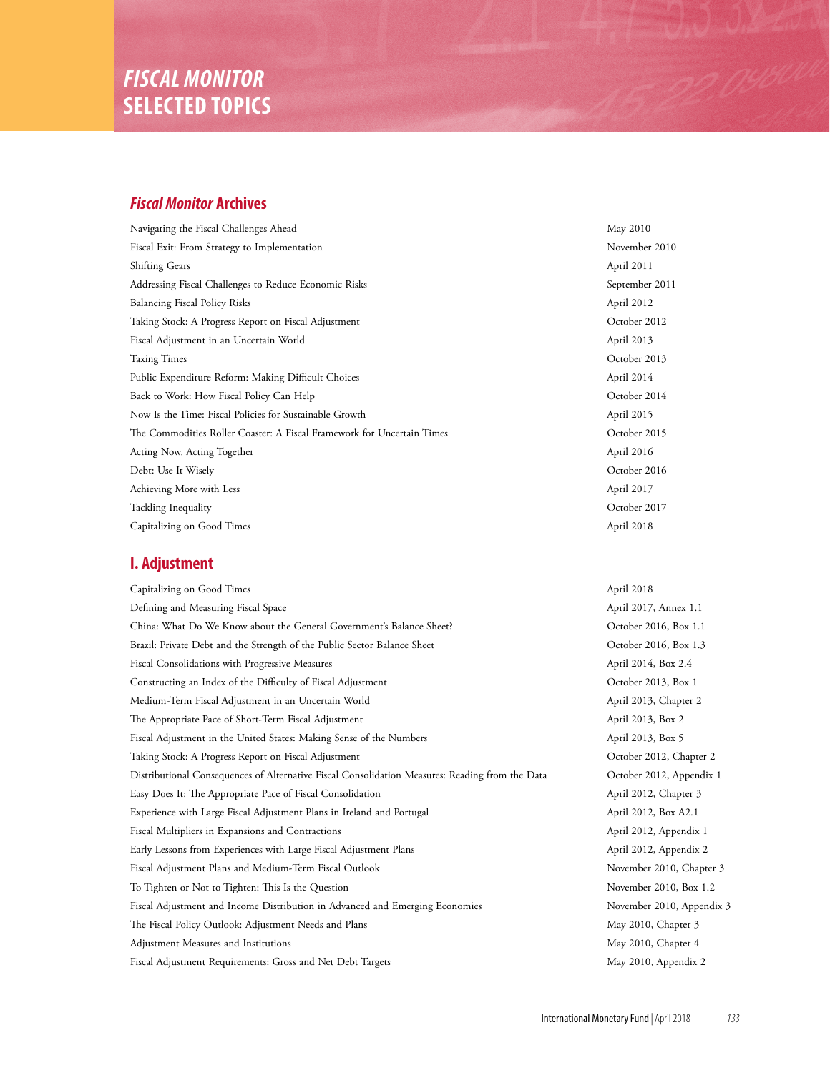# *Fiscal Monitor* **Archives**

Navigating the Fiscal Challenges Ahead May 2010 Fiscal Exit: From Strategy to Implementation November 2010 Shifting Gears April 2011 Addressing Fiscal Challenges to Reduce Economic Risks September 2011 Balancing Fiscal Policy Risks April 2012 Taking Stock: A Progress Report on Fiscal Adjustment October 2012 Fiscal Adjustment in an Uncertain World **April 2013** April 2013 Taxing Times October 2013 Public Expenditure Reform: Making Difficult Choices April 2014 Back to Work: How Fiscal Policy Can Help **Detection Containers** October 2014 Now Is the Time: Fiscal Policies for Sustainable Growth April 2015 The Commodities Roller Coaster: A Fiscal Framework for Uncertain Times October 2015 Acting Now, Acting Together April 2016 Debt: Use It Wisely October 2016 Achieving More with Less April 2017 Tackling Inequality **October 2017** Capitalizing on Good Times April 2018

### **I. Adjustment**

Capitalizing on Good Times **April 2018** Defining and Measuring Fiscal Space April 2017, Annex 1.1 China: What Do We Know about the General Government's Balance Sheet? October 2016, Box 1.1 Brazil: Private Debt and the Strength of the Public Sector Balance Sheet Coroller 2016, Box 1.3 Fiscal Consolidations with Progressive Measures April 2014, Box 2.4 Constructing an Index of the Difficulty of Fiscal Adjustment October 2013, Box 1 Medium-Term Fiscal Adjustment in an Uncertain World **April 2013, Chapter 2** April 2013, Chapter 2 The Appropriate Pace of Short-Term Fiscal Adjustment April 2013, Box 2 Fiscal Adjustment in the United States: Making Sense of the Numbers April 2013, Box 5 Taking Stock: A Progress Report on Fiscal Adjustment October 2012, Chapter 2 Distributional Consequences of Alternative Fiscal Consolidation Measures: Reading from the Data October 2012, Appendix 1 Easy Does It: The Appropriate Pace of Fiscal Consolidation April 2012, Chapter 3 Experience with Large Fiscal Adjustment Plans in Ireland and Portugal **April 2012, Box A2.1** Fiscal Multipliers in Expansions and Contractions **April 2012, Appendix 1** April 2012, Appendix 1 Early Lessons from Experiences with Large Fiscal Adjustment Plans April 2012, Appendix 2 Fiscal Adjustment Plans and Medium-Term Fiscal Outlook November 2010, Chapter 3 To Tighten or Not to Tighten: This Is the Question November 2010, Box 1.2 Fiscal Adjustment and Income Distribution in Advanced and Emerging Economies November 2010, Appendix 3 The Fiscal Policy Outlook: Adjustment Needs and Plans May 2010, Chapter 3 Adjustment Measures and Institutions and May 2010, Chapter 4 Fiscal Adjustment Requirements: Gross and Net Debt Targets May 2010, Appendix 2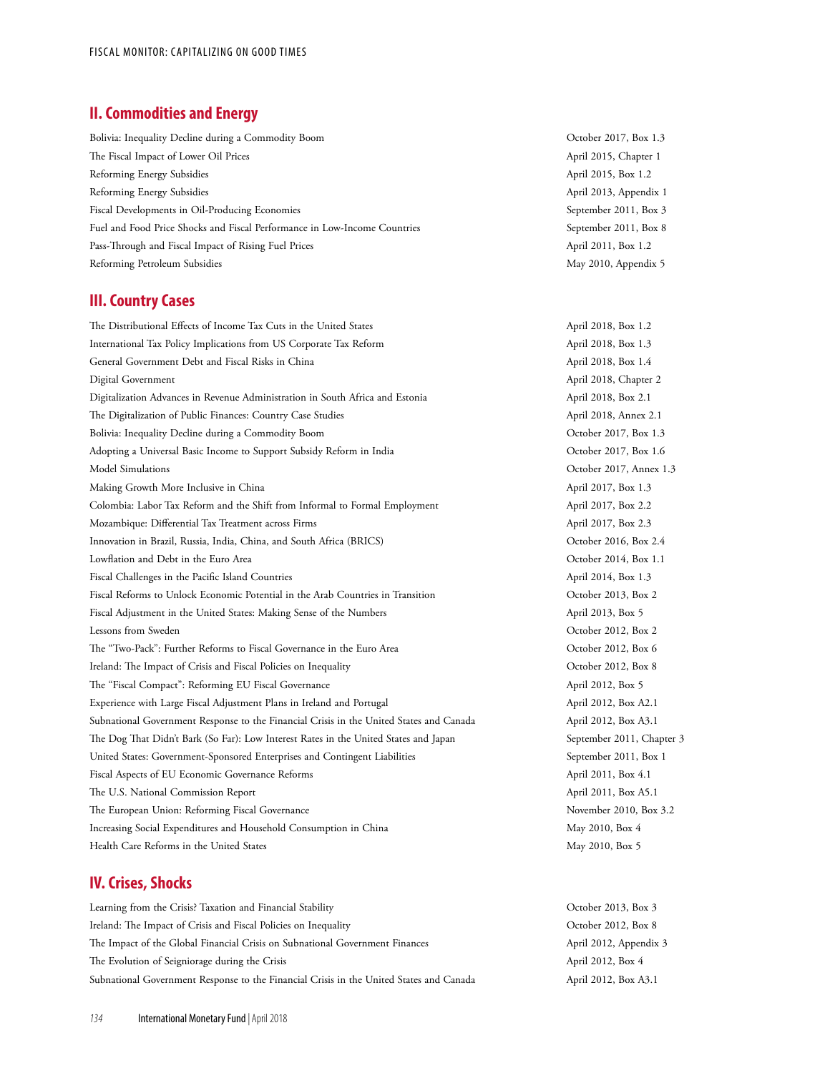### **II. Commodities and Energy**

Bolivia: Inequality Decline during a Commodity Boom October 2017, Box 1.3 The Fiscal Impact of Lower Oil Prices April 2015, Chapter 1 (1996) April 2015, Chapter 1 Reforming Energy Subsidies April 2015, Box 1.2 Reforming Energy Subsidies April 2013, Appendix 1 Fiscal Developments in Oil-Producing Economies September 2011, Box 3 Fuel and Food Price Shocks and Fiscal Performance in Low-Income Countries September 2011, Box 8 Pass-Through and Fiscal Impact of Rising Fuel Prices and April 2011, Box 1.2 Reforming Petroleum Subsidies and Subsidies May 2010, Appendix 5

#### **III. Country Cases**

The Distributional Effects of Income Tax Cuts in the United States April 2018, Box 1.2 International Tax Policy Implications from US Corporate Tax Reform April 2018, Box 1.3 General Government Debt and Fiscal Risks in China April 2018, Box 1.4 Digital Government April 2018, Chapter 2 Digitalization Advances in Revenue Administration in South Africa and Estonia April 2018, Box 2.1 The Digitalization of Public Finances: Country Case Studies April 2018, Annex 2.1 Bolivia: Inequality Decline during a Commodity Boom Coroler 2017, Box 1.3 Adopting a Universal Basic Income to Support Subsidy Reform in India **Calculation Constanting Constanting Constanting Constanting Constanting Constanting Constanting Constanting Constanting Constanting Constanting Constant** Model Simulations October 2017, Annex 1.3 Making Growth More Inclusive in China April 2017, Box 1.3 Colombia: Labor Tax Reform and the Shift from Informal to Formal Employment April 2017, Box 2.2 Mozambique: Differential Tax Treatment across Firms April 2017, Box 2.3 Innovation in Brazil, Russia, India, China, and South Africa (BRICS) October 2016, Box 2.4 Lowflation and Debt in the Euro Area  $Oct{Det}$  2014, Box 1.1 Fiscal Challenges in the Pacific Island Countries April 2014, Box 1.3 Fiscal Reforms to Unlock Economic Potential in the Arab Countries in Transition October 2013, Box 2 Fiscal Adjustment in the United States: Making Sense of the Numbers April 2013, Box 5 Lessons from Sweden October 2012, Box 2 The "Two-Pack": Further Reforms to Fiscal Governance in the Euro Area October 2012, Box 6 Ireland: The Impact of Crisis and Fiscal Policies on Inequality October 2012, Box 8 The "Fiscal Compact": Reforming EU Fiscal Governance April 2012, Box 5 Experience with Large Fiscal Adjustment Plans in Ireland and Portugal April 2012, Box A2.1 Subnational Government Response to the Financial Crisis in the United States and Canada April 2012, Box A3.1 The Dog That Didn't Bark (So Far): Low Interest Rates in the United States and Japan September 2011, Chapter 3 United States: Government-Sponsored Enterprises and Contingent Liabilities September 2011, Box 1 Fiscal Aspects of EU Economic Governance Reforms April 2011, Box 4.1 The U.S. National Commission Report April 2011, Box A5.1 The European Union: Reforming Fiscal Governance November 2010, Box 3.2 Increasing Social Expenditures and Household Consumption in China May 2010, Box 4 Health Care Reforms in the United States May 2010, Box 5

#### **IV. Crises, Shocks**

Learning from the Crisis? Taxation and Financial Stability October 2013, Box 3 Ireland: The Impact of Crisis and Fiscal Policies on Inequality October 2012, Box 8 The Impact of the Global Financial Crisis on Subnational Government Finances April 2012, Appendix 3 The Evolution of Seigniorage during the Crisis April 2012, Box 4 Subnational Government Response to the Financial Crisis in the United States and Canada April 2012, Box A3.1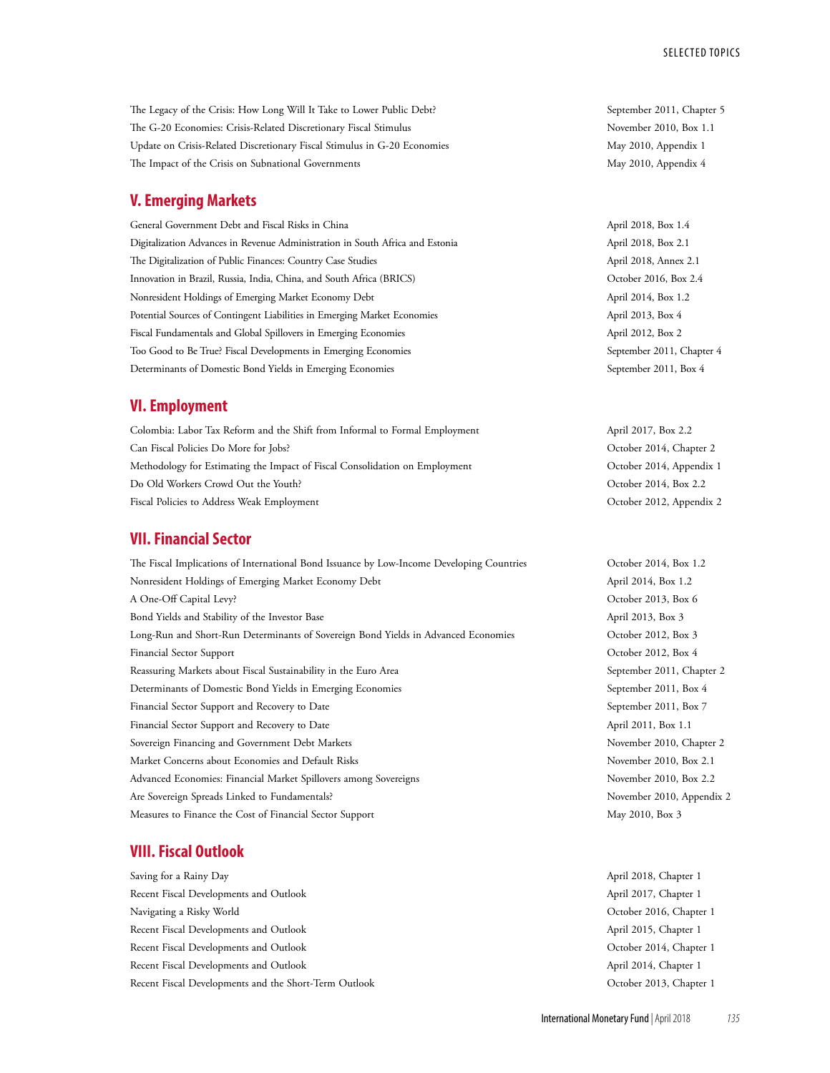The Legacy of the Crisis: How Long Will It Take to Lower Public Debt? September 2011, Chapter 5 The G-20 Economies: Crisis-Related Discretionary Fiscal Stimulus November 2010, Box 1.1 Update on Crisis-Related Discretionary Fiscal Stimulus in G-20 Economies May 2010, Appendix 1 The Impact of the Crisis on Subnational Governments May 2010, Appendix 4

#### **V. Emerging Markets**

General Government Debt and Fiscal Risks in China April 2018, Box 1.4 Digitalization Advances in Revenue Administration in South Africa and Estonia April 2018, Box 2.1 The Digitalization of Public Finances: Country Case Studies April 2018, Annex 2.1 Innovation in Brazil, Russia, India, China, and South Africa (BRICS) October 2016, Box 2.4 Nonresident Holdings of Emerging Market Economy Debt April 2014, Box 1.2 Potential Sources of Contingent Liabilities in Emerging Market Economies April 2013, Box 4 Fiscal Fundamentals and Global Spillovers in Emerging Economies **April 2012, Box 2** April 2012, Box 2 Too Good to Be True? Fiscal Developments in Emerging Economies September 2011, Chapter 4 Determinants of Domestic Bond Yields in Emerging Economies September 2011, Box 4

### **VI. Employment**

Colombia: Labor Tax Reform and the Shift from Informal to Formal Employment April 2017, Box 2.2 Can Fiscal Policies Do More for Jobs? October 2014, Chapter 2 Methodology for Estimating the Impact of Fiscal Consolidation on Employment October 2014, Appendix 1 Do Old Workers Crowd Out the Youth? October 2014, Box 2.2 Fiscal Policies to Address Weak Employment October 2012, Appendix 2

#### **VII. Financial Sector**

The Fiscal Implications of International Bond Issuance by Low-Income Developing Countries October 2014, Box 1.2 Nonresident Holdings of Emerging Market Economy Debt April 2014, Box 1.2 A One-Off Capital Levy? October 2013, Box 6 Bond Yields and Stability of the Investor Base April 2013, Box 3 Long-Run and Short-Run Determinants of Sovereign Bond Yields in Advanced Economies October 2012, Box 3 Financial Sector Support October 2012, Box 4 Reassuring Markets about Fiscal Sustainability in the Euro Area September 2011, Chapter 2011, Chapter 2 Determinants of Domestic Bond Yields in Emerging Economies September 2011, Box 4 Financial Sector Support and Recovery to Date September 2011, Box 7 Financial Sector Support and Recovery to Date April 2011, Box 1.1 Sovereign Financing and Government Debt Markets November 2010, Chapter 2 Market Concerns about Economies and Default Risks November 2010, Box 2.1 Advanced Economies: Financial Market Spillovers among Sovereigns November 2010, Box 2.2 Are Sovereign Spreads Linked to Fundamentals? November 2010, Appendix 2 Measures to Finance the Cost of Financial Sector Support May 2010, Box 3

### **VIII. Fiscal Outlook**

Saving for a Rainy Day April 2018, Chapter 1 Recent Fiscal Developments and Outlook April 2017, Chapter 1 Navigating a Risky World October 2016, Chapter 1 Recent Fiscal Developments and Outlook April 2015, Chapter 1 Recent Fiscal Developments and Outlook **Chapter 1 and Collection Control** Corober 2014, Chapter 1 Recent Fiscal Developments and Outlook April 2014, Chapter 1 Recent Fiscal Developments and the Short-Term Outlook **Developments and the Short-Term Outlook** October 2013, Chapter 1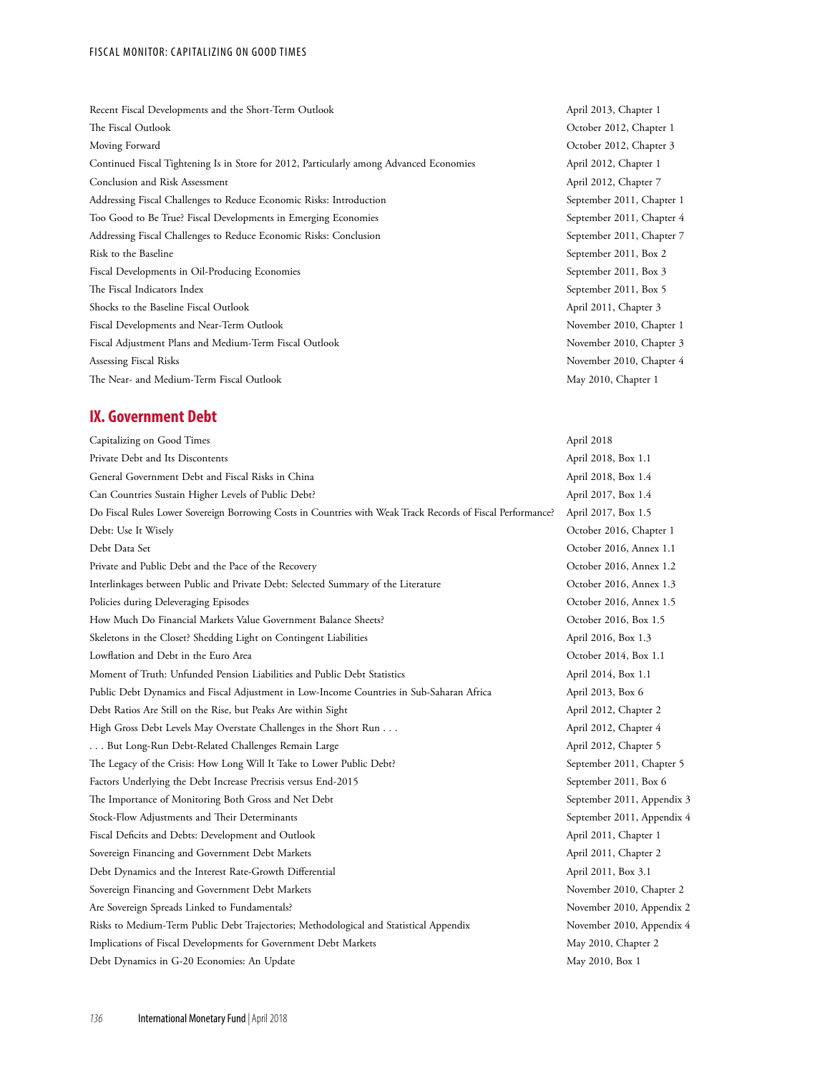| Recent Fiscal Developments and the Short-Term Outlook                                   | April 2013, Chapter 1 |
|-----------------------------------------------------------------------------------------|-----------------------|
| The Fiscal Outlook                                                                      | October 2012, Chapt   |
| Moving Forward                                                                          | October 2012, Chapt   |
| Continued Fiscal Tightening Is in Store for 2012, Particularly among Advanced Economies | April 2012, Chapter 1 |
| Conclusion and Risk Assessment                                                          | April 2012, Chapter 7 |
| Addressing Fiscal Challenges to Reduce Economic Risks: Introduction                     | September 2011, Cha   |
| Too Good to Be True? Fiscal Developments in Emerging Economies                          | September 2011, Cha   |
| Addressing Fiscal Challenges to Reduce Economic Risks: Conclusion                       | September 2011, Cha   |
| Risk to the Baseline                                                                    | September 2011, Box   |
| Fiscal Developments in Oil-Producing Economies                                          | September 2011, Box   |
| The Fiscal Indicators Index                                                             | September 2011, Box   |
| Shocks to the Baseline Fiscal Outlook                                                   | April 2011, Chapter 3 |
| Fiscal Developments and Near-Term Outlook                                               | November 2010, Cha    |
| Fiscal Adjustment Plans and Medium-Term Fiscal Outlook                                  | November 2010, Cha    |
| Assessing Fiscal Risks                                                                  | November 2010, Cha    |
| The Near- and Medium-Term Fiscal Outlook                                                | May 2010, Chapter 1   |

April 2013, Chapter 1 October 2012, Chapter 1 October 2012, Chapter 3 April 2012, Chapter 1 April 2012, Chapter 7 September 2011, Chapter 1 September 2011, Chapter 4 September 2011, Chapter 7 September 2011, Box 2 September 2011, Box 3 September 2011, Box 5 April 2011, Chapter 3 November 2010, Chapter 1 November 2010, Chapter 3 November 2010, Chapter 4

### **IX. Government Debt**

| Capitalizing on Good Times                                                                                  | April 2018                 |
|-------------------------------------------------------------------------------------------------------------|----------------------------|
| Private Debt and Its Discontents                                                                            | April 2018, Box 1.1        |
| General Government Debt and Fiscal Risks in China                                                           | April 2018, Box 1.4        |
| Can Countries Sustain Higher Levels of Public Debt?                                                         | April 2017, Box 1.4        |
| Do Fiscal Rules Lower Sovereign Borrowing Costs in Countries with Weak Track Records of Fiscal Performance? | April 2017, Box 1.5        |
| Debt: Use It Wisely                                                                                         | October 2016, Chapter 1    |
| Debt Data Set                                                                                               | October 2016, Annex 1.1    |
| Private and Public Debt and the Pace of the Recovery                                                        | October 2016, Annex 1.2    |
| Interlinkages between Public and Private Debt: Selected Summary of the Literature                           | October 2016, Annex 1.3    |
| Policies during Deleveraging Episodes                                                                       | October 2016, Annex 1.5    |
| How Much Do Financial Markets Value Government Balance Sheets?                                              | October 2016, Box 1.5      |
| Skeletons in the Closet? Shedding Light on Contingent Liabilities                                           | April 2016, Box 1.3        |
| Lowflation and Debt in the Euro Area                                                                        | October 2014, Box 1.1      |
| Moment of Truth: Unfunded Pension Liabilities and Public Debt Statistics                                    | April 2014, Box 1.1        |
| Public Debt Dynamics and Fiscal Adjustment in Low-Income Countries in Sub-Saharan Africa                    | April 2013, Box 6          |
| Debt Ratios Are Still on the Rise, but Peaks Are within Sight                                               | April 2012, Chapter 2      |
| High Gross Debt Levels May Overstate Challenges in the Short Run                                            | April 2012, Chapter 4      |
| But Long-Run Debt-Related Challenges Remain Large                                                           | April 2012, Chapter 5      |
| The Legacy of the Crisis: How Long Will It Take to Lower Public Debt?                                       | September 2011, Chapter 5  |
| Factors Underlying the Debt Increase Precrisis versus End-2015                                              | September 2011, Box 6      |
| The Importance of Monitoring Both Gross and Net Debt                                                        | September 2011, Appendix 3 |
| Stock-Flow Adjustments and Their Determinants                                                               | September 2011, Appendix 4 |
| Fiscal Deficits and Debts: Development and Outlook                                                          | April 2011, Chapter 1      |
| Sovereign Financing and Government Debt Markets                                                             | April 2011, Chapter 2      |
| Debt Dynamics and the Interest Rate-Growth Differential                                                     | April 2011, Box 3.1        |
| Sovereign Financing and Government Debt Markets                                                             | November 2010, Chapter 2   |
| Are Sovereign Spreads Linked to Fundamentals?                                                               | November 2010, Appendix 2  |
| Risks to Medium-Term Public Debt Trajectories; Methodological and Statistical Appendix                      | November 2010, Appendix 4  |
| Implications of Fiscal Developments for Government Debt Markets                                             | May 2010, Chapter 2        |
| Debt Dynamics in G-20 Economies: An Update                                                                  | May 2010, Box 1            |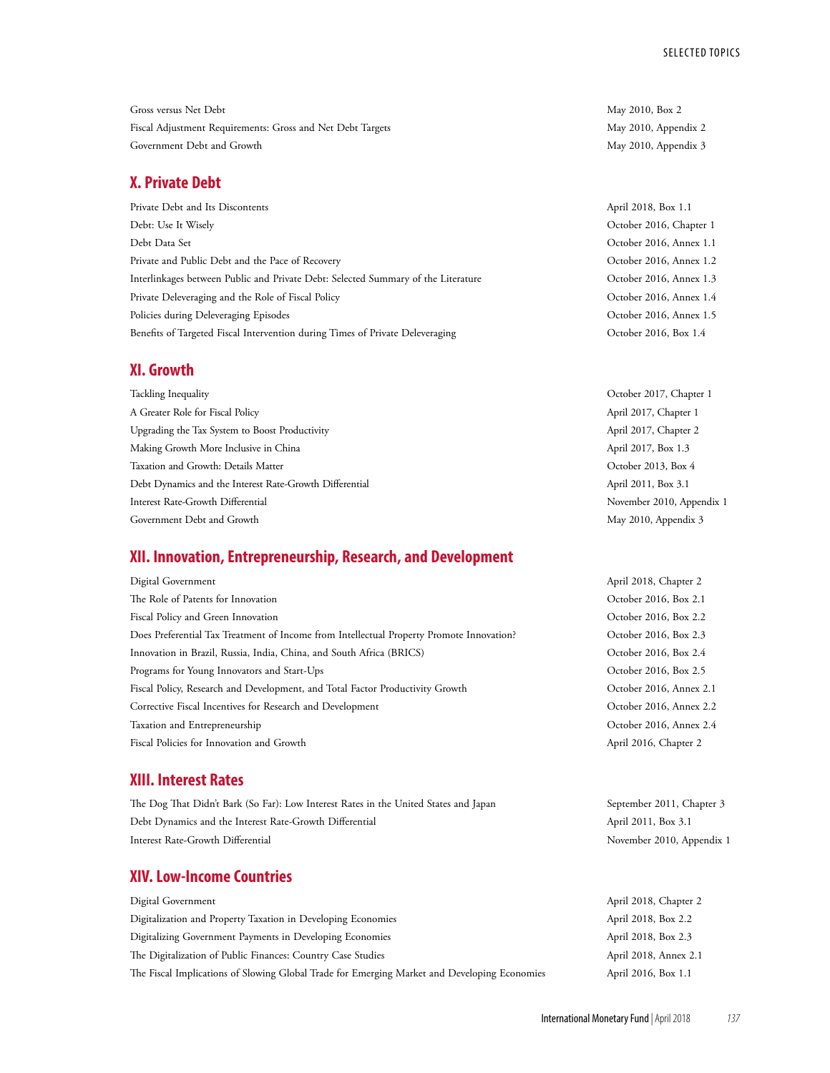#### SELECTED TOPICS

Gross versus Net Debt May 2010, Box 2 Fiscal Adjustment Requirements: Gross and Net Debt Targets May 2010, Appendix 2 Government Debt and Growth May 2010, Appendix 3

### **X. Private Debt**

| Private Debt and Its Discontents                                                  | April 2018, Box 1.1     |
|-----------------------------------------------------------------------------------|-------------------------|
| Debt: Use It Wisely                                                               | October 2016, Chapter 1 |
| Debt Data Set                                                                     | October 2016, Annex 1.1 |
| Private and Public Debt and the Pace of Recovery                                  | October 2016, Annex 1.2 |
| Interlinkages between Public and Private Debt: Selected Summary of the Literature | October 2016, Annex 1.3 |
| Private Deleveraging and the Role of Fiscal Policy                                | October 2016, Annex 1.4 |
| Policies during Deleveraging Episodes                                             | October 2016, Annex 1.5 |
| Benefits of Targeted Fiscal Intervention during Times of Private Deleveraging     | October 2016, Box 1.4   |

### **XI. Growth**

| Tackling Inequality                                     | October 2017, Chapter 1   |
|---------------------------------------------------------|---------------------------|
| A Greater Role for Fiscal Policy                        | April 2017, Chapter 1     |
| Upgrading the Tax System to Boost Productivity          | April 2017, Chapter 2     |
| Making Growth More Inclusive in China                   | April 2017, Box 1.3       |
| Taxation and Growth: Details Matter                     | October 2013, Box 4       |
| Debt Dynamics and the Interest Rate-Growth Differential | April 2011, Box 3.1       |
| Interest Rate-Growth Differential                       | November 2010, Appendix 1 |
| Government Debt and Growth                              | May 2010, Appendix 3      |
|                                                         |                           |

# **XII. Innovation, Entrepreneurship, Research, and Development**

| Digital Government                                                                       | April 2018, Chapter 2 |
|------------------------------------------------------------------------------------------|-----------------------|
| The Role of Patents for Innovation                                                       | October 2016, Box 2.1 |
| Fiscal Policy and Green Innovation                                                       | October 2016, Box 2.2 |
| Does Preferential Tax Treatment of Income from Intellectual Property Promote Innovation? | October 2016, Box 2.3 |
| Innovation in Brazil, Russia, India, China, and South Africa (BRICS)                     | October 2016, Box 2.4 |
| Programs for Young Innovators and Start-Ups                                              | October 2016, Box 2.5 |
| Fiscal Policy, Research and Development, and Total Factor Productivity Growth            | October 2016, Annex   |
| Corrective Fiscal Incentives for Research and Development                                | October 2016, Annex   |
| Taxation and Entrepreneurship                                                            | October 2016, Annex   |
| Fiscal Policies for Innovation and Growth                                                | April 2016, Chapter 2 |

## **XIII. Interest Rates**

The Dog That Didn't Bark (So Far): Low Interest Rates in the United States and Japan September 2011, Chapter 3 Debt Dynamics and the Interest Rate-Growth Differential April 2011, Box 3.1 Interest Rate-Growth Differential November 2010, Appendix 1

### **XIV. Low-Income Countries**

| Digital Government                                                                           | April 2018, Chapter 2 |  |
|----------------------------------------------------------------------------------------------|-----------------------|--|
| Digitalization and Property Taxation in Developing Economies                                 | April 2018, Box 2.2   |  |
| Digitalizing Government Payments in Developing Economies                                     | April 2018, Box 2.3   |  |
| The Digitalization of Public Finances: Country Case Studies                                  | April 2018, Annex 2.1 |  |
| The Fiscal Implications of Slowing Global Trade for Emerging Market and Developing Economies | April 2016, Box 1.1   |  |

October 2016, Box 2.1 October 2016, Box 2.2 October 2016, Box 2.3 October 2016, Box 2.4 October 2016, Box 2.5 October 2016, Annex 2.1 October 2016, Annex 2.2 October 2016, Annex 2.4 April 2016, Chapter 2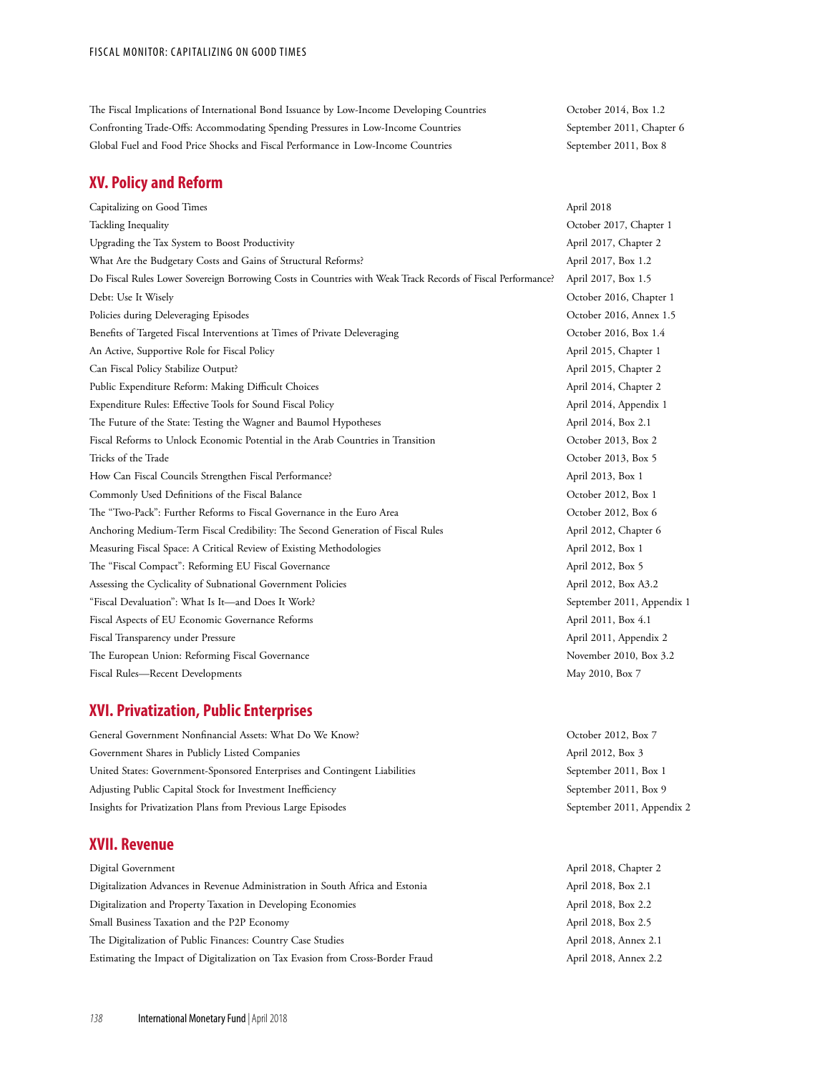The Fiscal Implications of International Bond Issuance by Low-Income Developing Countries October 2014, Box 1.2 Confronting Trade-Offs: Accommodating Spending Pressures in Low-Income Countries September 2011, Chapter 6 Global Fuel and Food Price Shocks and Fiscal Performance in Low-Income Countries September 2011, Box 8

### **XV. Policy and Reform**

Capitalizing on Good Times April 2018 Tackling Inequality October 2017, Chapter 1 Upgrading the Tax System to Boost Productivity April 2017, Chapter 2 What Are the Budgetary Costs and Gains of Structural Reforms? April 2017, Box 1.2 Do Fiscal Rules Lower Sovereign Borrowing Costs in Countries with Weak Track Records of Fiscal Performance? April 2017, Box 1.5 Debt: Use It Wisely October 2016, Chapter 1 Policies during Deleveraging Episodes **October 2016, Annex 1.5** October 2016, Annex 1.5 Benefits of Targeted Fiscal Interventions at Times of Private Deleveraging Corollect 2016, Box 1.4 An Active, Supportive Role for Fiscal Policy April 2015, Chapter 1 Can Fiscal Policy Stabilize Output? April 2015, Chapter 2 Public Expenditure Reform: Making Difficult Choices April 2014, Chapter 2 Expenditure Rules: Effective Tools for Sound Fiscal Policy April 2014, Appendix 1 The Future of the State: Testing the Wagner and Baumol Hypotheses April 2014, Box 2.1 Fiscal Reforms to Unlock Economic Potential in the Arab Countries in Transition October 2013, Box 2 Tricks of the Trade October 2013, Box 5 How Can Fiscal Councils Strengthen Fiscal Performance? April 2013, Box 1 Commonly Used Definitions of the Fiscal Balance October 2012, Box 1 The "Two-Pack": Further Reforms to Fiscal Governance in the Euro Area October 2012, Box 6 Anchoring Medium-Term Fiscal Credibility: The Second Generation of Fiscal Rules April 2012, Chapter 6 Measuring Fiscal Space: A Critical Review of Existing Methodologies April 2012, Box 1 The "Fiscal Compact": Reforming EU Fiscal Governance April 2012, Box 5 Assessing the Cyclicality of Subnational Government Policies April 2012, Box A3.2 "Fiscal Devaluation": What Is It—and Does It Work? September 2011, Appendix 1 Fiscal Aspects of EU Economic Governance Reforms April 2011, Box 4.1 Fiscal Transparency under Pressure April 2011, Appendix 2 The European Union: Reforming Fiscal Governance November 2010, Box 3.2 Fiscal Rules—Recent Developments May 2010, Box 7

### **XVI. Privatization, Public Enterprises**

General Government Nonfinancial Assets: What Do We Know? Conserved a conserved by Corober 2012, Box 7 Government Shares in Publicly Listed Companies April 2012, Box 3 United States: Government-Sponsored Enterprises and Contingent Liabilities September 2011, Box 1 Adjusting Public Capital Stock for Investment Inefficiency September 2011, Box 9 Insights for Privatization Plans from Previous Large Episodes September 2011, Appendix 2

### **XVII. Revenue**

Digital Government April 2018, Chapter 2 Digitalization Advances in Revenue Administration in South Africa and Estonia **April 2018**, Box 2.1 Digitalization and Property Taxation in Developing Economies April 2018, Box 2.2 Small Business Taxation and the P2P Economy April 2018, Box 2.5 The Digitalization of Public Finances: Country Case Studies April 2018, Annex 2.1 Estimating the Impact of Digitalization on Tax Evasion from Cross-Border Fraud April 2018, Annex 2.2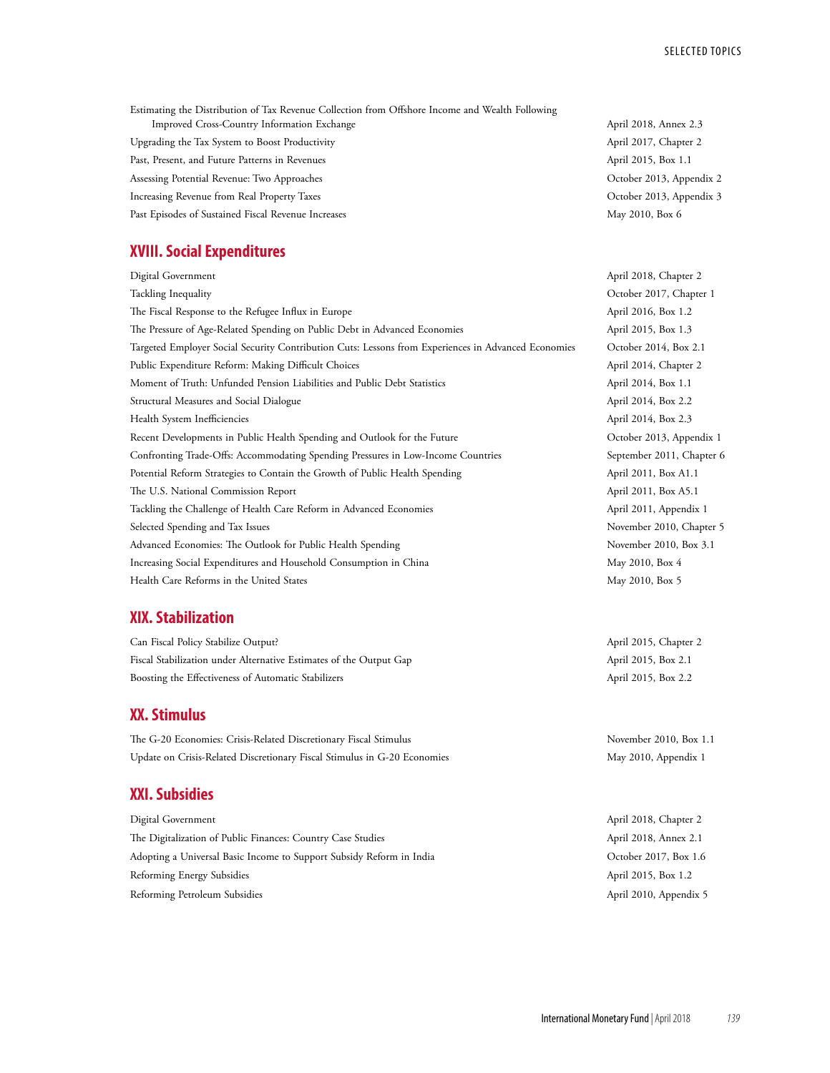SELECTED TOPICS

Estimating the Distribution of Tax Revenue Collection from Offshore Income and Wealth Following Improved Cross-Country Information Exchange April 2018, Annex 2.3 Upgrading the Tax System to Boost Productivity April 2017, Chapter 2 Past, Present, and Future Patterns in Revenues April 2015, Box 1.1 Assessing Potential Revenue: Two Approaches **Calculation Contact Contact Contact Contact Contact Contact Contact Contact Contact Contact Contact Contact Contact Contact Contact Contact Contact Contact Contact Contact Conta** Increasing Revenue from Real Property Taxes October 2013, Appendix 3 Past Episodes of Sustained Fiscal Revenue Increases and the state of Sustainable May 2010, Box 6

### **XVIII. Social Expenditures**

Digital Government April 2018, Chapter 2 Tackling Inequality October 2017, Chapter 1 The Fiscal Response to the Refugee Influx in Europe April 2016, Box 1.2 The Pressure of Age-Related Spending on Public Debt in Advanced Economies April 2015, Box 1.3 Targeted Employer Social Security Contribution Cuts: Lessons from Experiences in Advanced Economies October 2014, Box 2.1 Public Expenditure Reform: Making Difficult Choices April 2014, Chapter 2 Moment of Truth: Unfunded Pension Liabilities and Public Debt Statistics April 2014, Box 1.1 Structural Measures and Social Dialogue **April 2014, Box 2.2** Health System Inefficiencies April 2014, Box 2.3 Recent Developments in Public Health Spending and Outlook for the Future Theorem Coroles 2013, Appendix 1 Confronting Trade-Offs: Accommodating Spending Pressures in Low-Income Countries September 2011, Chapter 6 Potential Reform Strategies to Contain the Growth of Public Health Spending April 2011, Box A1.1 The U.S. National Commission Report April 2011, Box A5.1 Tackling the Challenge of Health Care Reform in Advanced Economies April 2011, Appendix 1 Selected Spending and Tax Issues November 2010, Chapter 5 Advanced Economies: The Outlook for Public Health Spending November 2010, Box 3.1 Increasing Social Expenditures and Household Consumption in China May 2010, Box 4 Health Care Reforms in the United States and the United States May 2010, Box 5

### **XIX. Stabilization**

Can Fiscal Policy Stabilize Output? April 2015, Chapter 2 Fiscal Stabilization under Alternative Estimates of the Output Gap April 2015, Box 2.1 Boosting the Effectiveness of Automatic Stabilizers April 2015, Box 2.2

#### **XX. Stimulus**

The G-20 Economies: Crisis-Related Discretionary Fiscal Stimulus November 2010, Box 1.1 Update on Crisis-Related Discretionary Fiscal Stimulus in G-20 Economies May 2010, Appendix 1

### **XXI. Subsidies**

Digital Government April 2018, Chapter 2 The Digitalization of Public Finances: Country Case Studies April 2018, Annex 2.1 Adopting a Universal Basic Income to Support Subsidy Reform in India **Canada Concrete COA Adoptive Adoptive Adoptive Adoptive Adoptive Adoptive Adoptive Adoptive Adoptive Adoptive Adoptive Adoptive Adoptive Adoptive Adopti** Reforming Energy Subsidies April 2015, Box 1.2 Reforming Petroleum Subsidies April 2010, Appendix 5